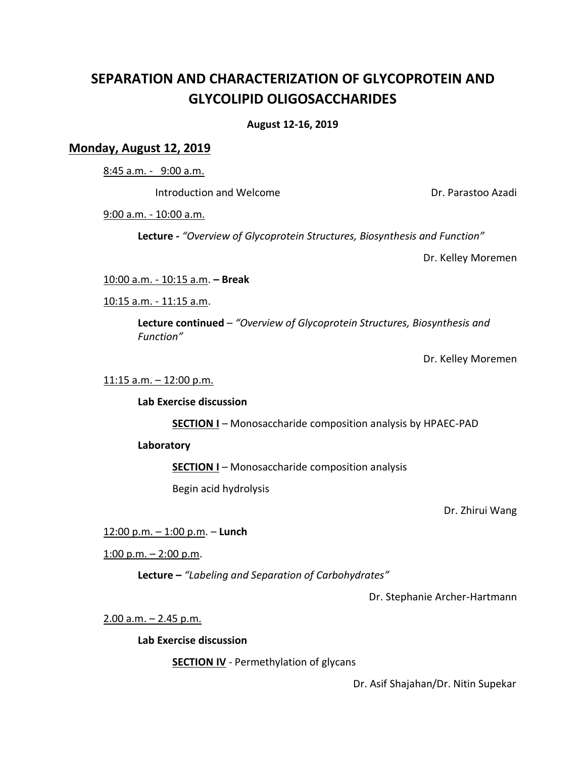# **SEPARATION AND CHARACTERIZATION OF GLYCOPROTEIN AND GLYCOLIPID OLIGOSACCHARIDES**

# **August 12-16, 2019**

# **Monday, August 12, 2019**

8:45 a.m. - 9:00 a.m.

Introduction and Welcome Dr. Parastoo Azadi

9:00 a.m. - 10:00 a.m.

**Lecture** *- "Overview of Glycoprotein Structures, Biosynthesis and Function"*

Dr. Kelley Moremen

10:00 a.m. - 10:15 a.m. **– Break**

10:15 a.m. - 11:15 a.m.

**Lecture continued** – *"Overview of Glycoprotein Structures, Biosynthesis and Function"*

Dr. Kelley Moremen

## 11:15 a.m. – 12:00 p.m.

#### **Lab Exercise discussion**

**SECTION I** – Monosaccharide composition analysis by HPAEC-PAD

#### **Laboratory**

**SECTION I** – Monosaccharide composition analysis

Begin acid hydrolysis

Dr. Zhirui Wang

12:00 p.m. – 1:00 p.m. – **Lunch**

1:00 p.m.  $-$  2:00 p.m.

**Lecture –** *"Labeling and Separation of Carbohydrates"*

Dr. Stephanie Archer-Hartmann

2.00 a.m. – 2.45 p.m.

**Lab Exercise discussion**

**SECTION IV** - Permethylation of glycans

Dr. Asif Shajahan/Dr. Nitin Supekar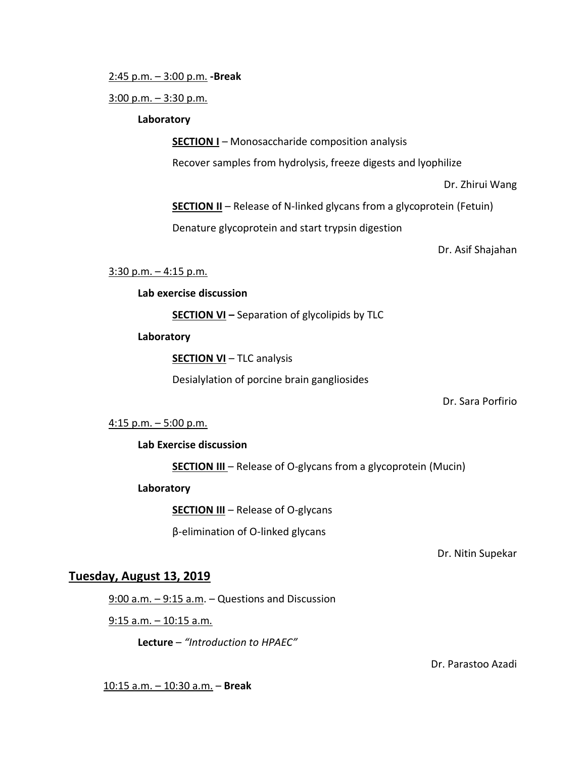2:45 p.m. – 3:00 p.m. **-Break**

 $3:00$  p.m.  $-3:30$  p.m.

## **Laboratory**

**SECTION I** – Monosaccharide composition analysis

Recover samples from hydrolysis, freeze digests and lyophilize

Dr. Zhirui Wang

**SECTION II** – Release of N-linked glycans from a glycoprotein (Fetuin)

Denature glycoprotein and start trypsin digestion

Dr. Asif Shajahan

# 3:30 p.m. – 4:15 p.m.

**Lab exercise discussion**

**SECTION VI –** Separation of glycolipids by TLC

**Laboratory**

**SECTION VI** – TLC analysis

Desialylation of porcine brain gangliosides

Dr. Sara Porfirio

# 4:15 p.m. – 5:00 p.m.

# **Lab Exercise discussion**

**SECTION III** – Release of O-glycans from a glycoprotein (Mucin)

**Laboratory**

**SECTION III** – Release of O-glycans

β-elimination of O-linked glycans

Dr. Nitin Supekar

# **Tuesday, August 13, 2019**

 $9:00$  a.m.  $-9:15$  a.m.  $-$  Questions and Discussion

9:15 a.m. – 10:15 a.m.

**Lecture** – *"Introduction to HPAEC"*

Dr. Parastoo Azadi

10:15 a.m. – 10:30 a.m. – **Break**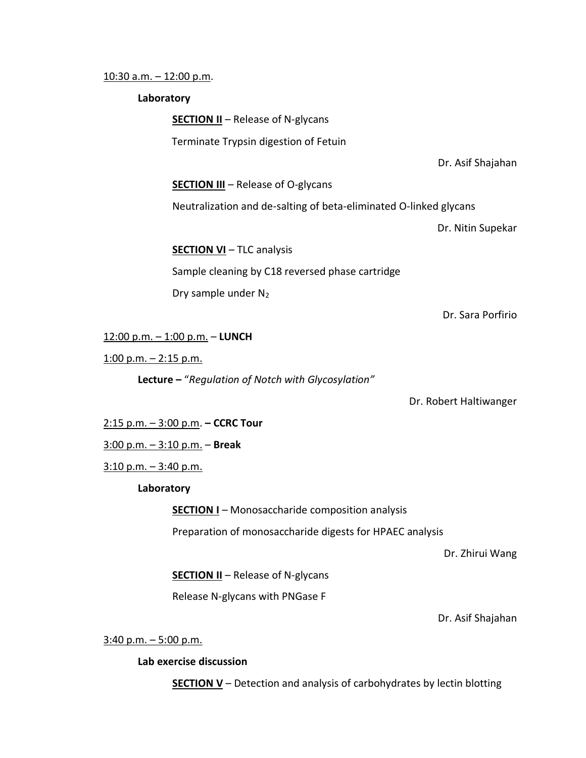#### 10:30 a.m. – 12:00 p.m.

#### **Laboratory**

**SECTION II** – Release of N-glycans

Terminate Trypsin digestion of Fetuin

Dr. Asif Shajahan

**SECTION III** – Release of O-glycans

Neutralization and de-salting of beta-eliminated O-linked glycans

Dr. Nitin Supekar

**SECTION VI** – TLC analysis

Sample cleaning by C18 reversed phase cartridge Dry sample under  $N_2$ 

Dr. Sara Porfirio

#### 12:00 p.m. – 1:00 p.m. – **LUNCH**

1:00 p.m.  $-$  2:15 p.m.

**Lecture –** "*Regulation of Notch with Glycosylation"*

Dr. Robert Haltiwanger

2:15 p.m. – 3:00 p.m. **– CCRC Tour**

3:00 p.m. – 3:10 p.m. – **Break**

 $3:10$  p.m.  $-3:40$  p.m.

#### **Laboratory**

**SECTION I** – Monosaccharide composition analysis

Preparation of monosaccharide digests for HPAEC analysis

Dr. Zhirui Wang

**SECTION II** – Release of N-glycans

Release N-glycans with PNGase F

Dr. Asif Shajahan

 $3:40$  p.m.  $-5:00$  p.m.

#### **Lab exercise discussion**

**SECTION V** – Detection and analysis of carbohydrates by lectin blotting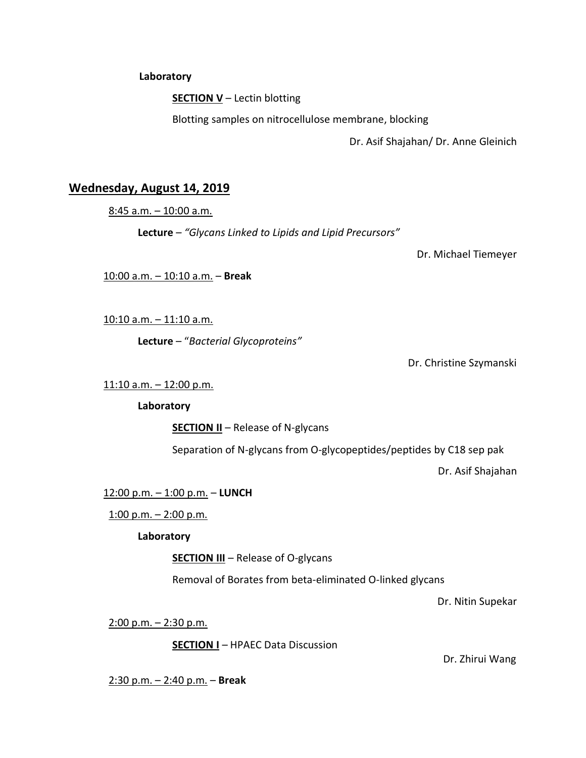**Laboratory**

**SECTION V** – Lectin blotting

Blotting samples on nitrocellulose membrane, blocking

Dr. Asif Shajahan/ Dr. Anne Gleinich

# **Wednesday, August 14, 2019**

 $8:45$  a.m.  $-10:00$  a.m.

**Lecture** *– "Glycans Linked to Lipids and Lipid Precursors"*

Dr. Michael Tiemeyer

10:00 a.m. – 10:10 a.m. – **Break**

10:10 a.m. – 11:10 a.m.

**Lecture** – "*Bacterial Glycoproteins"*

Dr. Christine Szymanski

11:10 a.m. – 12:00 p.m.

**Laboratory**

**SECTION II** – Release of N-glycans

Separation of N-glycans from O-glycopeptides/peptides by C18 sep pak

Dr. Asif Shajahan

12:00 p.m. – 1:00 p.m. – **LUNCH**

1:00 p.m. – 2:00 p.m.

# **Laboratory**

**SECTION III** – Release of O-glycans

Removal of Borates from beta-eliminated O-linked glycans

Dr. Nitin Supekar

2:00 p.m. – 2:30 p.m.

**SECTION I** – HPAEC Data Discussion

Dr. Zhirui Wang

2:30 p.m. – 2:40 p.m. – **Break**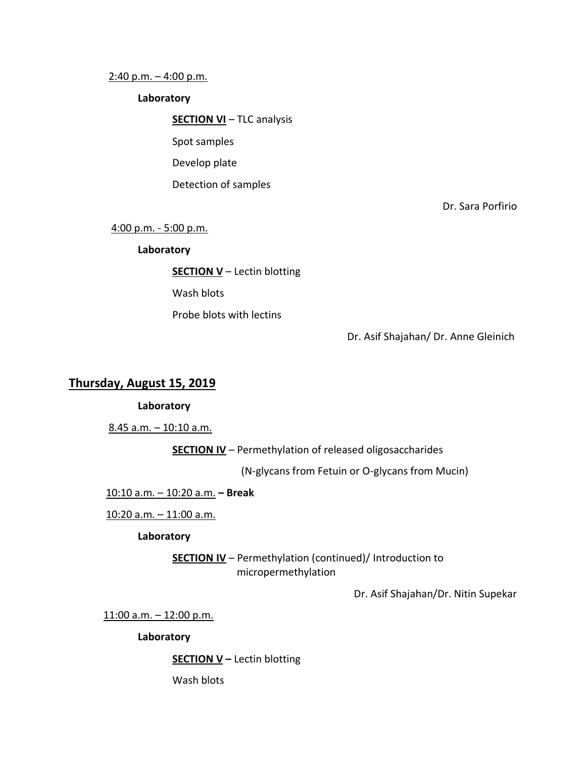#### 2:40 p.m. – 4:00 p.m.

#### **Laboratory**

**SECTION VI** – TLC analysis

Spot samples

Develop plate

Detection of samples

Dr. Sara Porfirio

4:00 p.m. - 5:00 p.m.

#### **Laboratory**

**SECTION V** – Lectin blotting

Wash blots

Probe blots with lectins

Dr. Asif Shajahan/ Dr. Anne Gleinich

# **Thursday, August 15, 2019**

#### **Laboratory**

8.45 a.m. – 10:10 a.m.

**SECTION IV** – Permethylation of released oligosaccharides

(N-glycans from Fetuin or O-glycans from Mucin)

10:10 a.m. – 10:20 a.m. **– Break**

10:20 a.m. – 11:00 a.m.

# **Laboratory**

**SECTION IV** – Permethylation (continued)/ Introduction to micropermethylation

Dr. Asif Shajahan/Dr. Nitin Supekar

11:00 a.m. – 12:00 p.m.

**Laboratory** 

**SECTION V –** Lectin blotting

Wash blots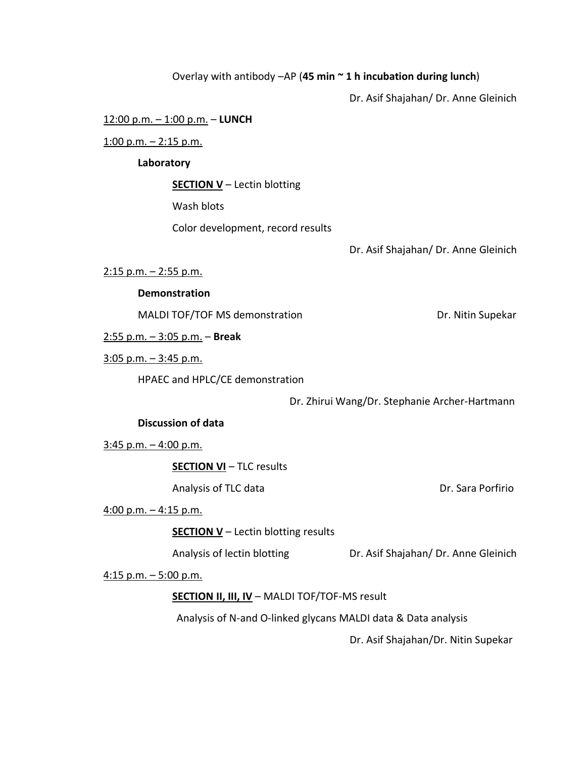# Overlay with antibody –AP (**45 min ~ 1 h incubation during lunch**)

Dr. Asif Shajahan/ Dr. Anne Gleinich

#### 12:00 p.m. – 1:00 p.m. – **LUNCH**

 $1:00$  p.m.  $- 2:15$  p.m.

### **Laboratory**

**SECTION V** – Lectin blotting

Wash blots

Color development, record results

Dr. Asif Shajahan/ Dr. Anne Gleinich

2:15 p.m. – 2:55 p.m.

#### **Demonstration**

MALDI TOF/TOF MS demonstration Dr. Nitin Supekar

2:55 p.m. – 3:05 p.m. – **Break**

3:05 p.m. – 3:45 p.m.

HPAEC and HPLC/CE demonstration

Dr. Zhirui Wang/Dr. Stephanie Archer-Hartmann

### **Discussion of data**

 $3:45$  p.m.  $-4:00$  p.m.

**SECTION VI** – TLC results

Analysis of TLC data **Dr.** Sara Porfirio

 $4:00$  p.m.  $-4:15$  p.m.

**SECTION V** – Lectin blotting results

Analysis of lectin blotting Dr. Asif Shajahan/ Dr. Anne Gleinich

4:15 p.m.  $-5:00$  p.m.

# **SECTION II, III, IV** – MALDI TOF/TOF-MS result

Analysis of N-and O-linked glycans MALDI data & Data analysis

Dr. Asif Shajahan/Dr. Nitin Supekar